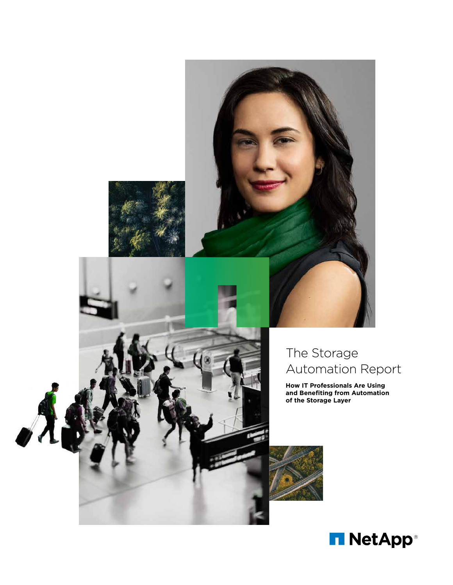

# The Storage Automation Report

**How IT Professionals Are Using and Benefiting from Automation of the Storage Layer**



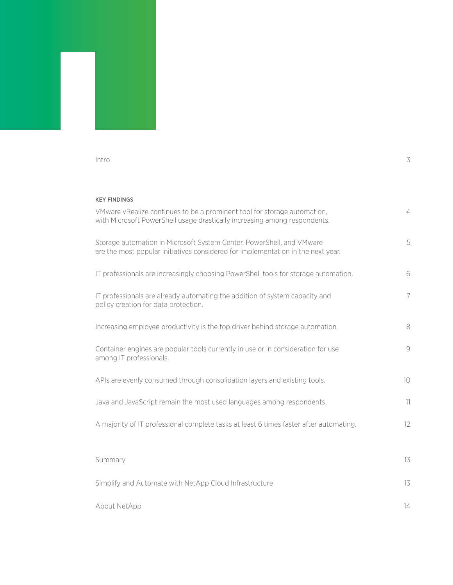#### [Intro](#page-2-0) 3

# KEY FINDINGS

| VMware vRealize continues to be a prominent tool for storage automation,<br>with Microsoft PowerShell usage drastically increasing among respondents.     | $\overline{4}$ |
|-----------------------------------------------------------------------------------------------------------------------------------------------------------|----------------|
| Storage automation in Microsoft System Center, PowerShell, and VMware<br>are the most popular initiatives considered for implementation in the next year. | 5              |
| IT professionals are increasingly choosing PowerShell tools for storage automation.                                                                       | 6              |
| IT professionals are already automating the addition of system capacity and<br>policy creation for data protection.                                       | 7              |
| Increasing employee productivity is the top driver behind storage automation.                                                                             | 8              |
| Container engines are popular tools currently in use or in consideration for use<br>among IT professionals.                                               | 9              |
| APIs are evenly consumed through consolidation layers and existing tools.                                                                                 | 10             |
| Java and JavaScript remain the most used languages among respondents.                                                                                     | 11             |
| A majority of IT professional complete tasks at least 6 times faster after automating.                                                                    | 12             |
| Summary                                                                                                                                                   | 13             |
| Simplify and Automate with NetApp Cloud Infrastructure                                                                                                    | 13             |
| About NetApp                                                                                                                                              | 14             |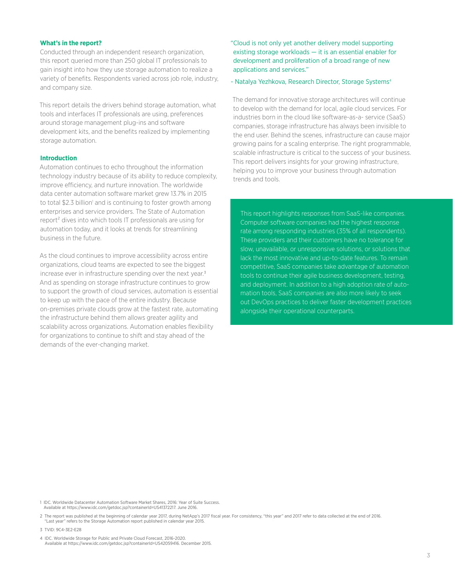#### <span id="page-2-0"></span>**What's in the report?**

Conducted through an independent research organization, this report queried more than 250 global IT professionals to gain insight into how they use storage automation to realize a variety of benefits. Respondents varied across job role, industry, and company size.

This report details the drivers behind storage automation, what tools and interfaces IT professionals are using, preferences around storage management plug-ins and software development kits, and the benefits realized by implementing storage automation.

### **Introduction**

Automation continues to echo throughout the information technology industry because of its ability to reduce complexity, improve efficiency, and nurture innovation. The worldwide data center automation software market grew 13.7% in 2015 to total \$2.3 billion<sup>1</sup> and is continuing to foster growth among enterprises and service providers. The State of Automation report² dives into which tools IT professionals are using for automation today, and it looks at trends for streamlining business in the future.

As the cloud continues to improve accessibility across entire organizations, cloud teams are expected to see the biggest increase ever in infrastructure spending over the next year.<sup>3</sup> And as spending on storage infrastructure continues to grow to support the growth of cloud services, automation is essential to keep up with the pace of the entire industry. Because on-premises private clouds grow at the fastest rate, automating the infrastructure behind them allows greater agility and scalability across organizations. Automation enables flexibility for organizations to continue to shift and stay ahead of the demands of the ever-changing market.

"Cloud is not only yet another delivery model supporting existing storage workloads — it is an essential enabler for development and proliferation of a broad range of new applications and services."

#### - Natalya Yezhkova, Research Director, Storage Systems<sup>4</sup>

The demand for innovative storage architectures will continue to develop with the demand for local, agile cloud services. For industries born in the cloud like software-as-a- service (SaaS) companies, storage infrastructure has always been invisible to the end user. Behind the scenes, infrastructure can cause major growing pains for a scaling enterprise. The right programmable, scalable infrastructure is critical to the success of your business. This report delivers insights for your growing infrastructure, helping you to improve your business through automation trends and tools.

This report highlights responses from SaaS-like companies. Computer software companies had the highest response rate among responding industries (35% of all respondents). These providers and their customers have no tolerance for slow, unavailable, or unresponsive solutions, or solutions that lack the most innovative and up-to-date features. To remain competitive, SaaS companies take advantage of automation tools to continue their agile business development, testing, and deployment. In addition to a high adoption rate of automation tools, SaaS companies are also more likely to seek out DevOps practices to deliver faster development practices alongside their operational counterparts.

1 IDC. Worldwide Datacenter Automation Software Market Shares, 2016: Year of Suite Success. Available at <https://www.idc.com/getdoc.jsp?containerId=US41372217>. June 2016.

2 The report was published at the beginning of calendar year 2017, during NetApp's 2017 fiscal year. For consistency, "this year" and 2017 refer to data collected at the end of 2016. "Last year" refers to the Storage Automation report published in calendar year 2015.

3 TVID: [9C4-3E2-E28](https://www.techvalidate.com/product-research/solidfire-market-research/charts/9C4-3E2-E28)

4 IDC. Worldwide Storage for Public and Private Cloud Forecast, 2016-2020. Available at<https://www.idc.com/getdoc.jsp?containerId=US42059416>. December 2015.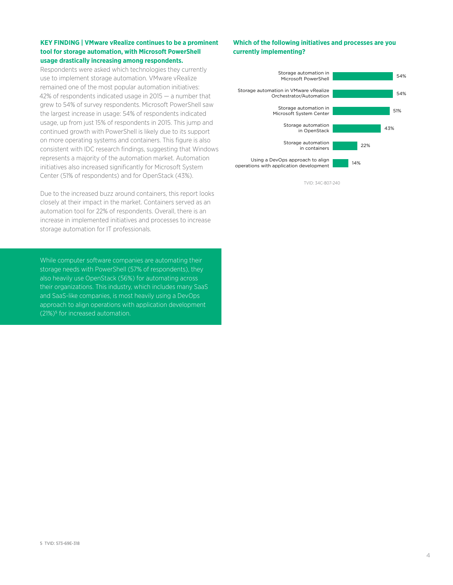#### <span id="page-3-0"></span>**KEY FINDING | VMware vRealize continues to be a prominent tool for storage automation, with Microsoft PowerShell usage drastically increasing among respondents.**

Respondents were asked which technologies they currently use to implement storage automation. VMware vRealize remained one of the most popular automation initiatives: 42% of respondents indicated usage in 2015 — a number that grew to 54% of survey respondents. Microsoft PowerShell saw the largest increase in usage: 54% of respondents indicated usage, up from just 15% of respondents in 2015. This jump and continued growth with PowerShell is likely due to its support on more operating systems and containers. This figure is also consistent with IDC research findings, suggesting that Windows represents a majority of the automation market. Automation initiatives also increased significantly for Microsoft System Center (51% of respondents) and for OpenStack (43%).

Due to the increased buzz around containers, this report looks closely at their impact in the market. Containers served as an automation tool for 22% of respondents. Overall, there is an increase in implemented initiatives and processes to increase storage automation for IT professionals.

While computer software companies are automating their storage needs with PowerShell (57% of respondents), they also heavily use OpenStack (56%) for automating across their organizations. This industry, which includes many SaaS and SaaS-like companies, is most heavily using a DevOps approach to align operations with application development (21%)<sup>5</sup> for increased automation.

# **Which of the following initiatives and processes are you currently implementing?**



TVID: [34C-807-240](https://www.techvalidate.com/product-research/solidfire-market-research/charts/34C-807-240)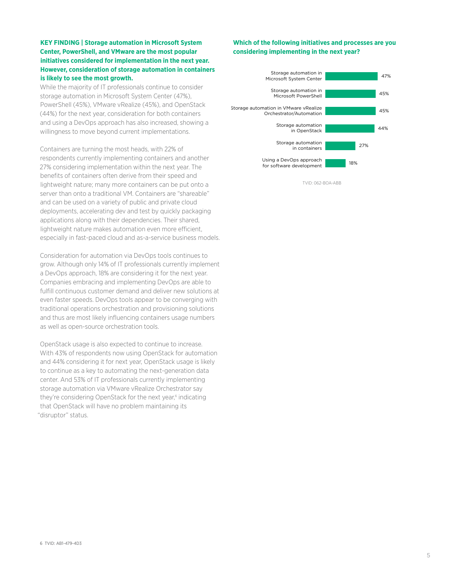# <span id="page-4-0"></span>**KEY FINDING | Storage automation in Microsoft System Center, PowerShell, and VMware are the most popular initiatives considered for implementation in the next year. However, consideration of storage automation in containers is likely to see the most growth.**

While the majority of IT professionals continue to consider storage automation in Microsoft System Center (47%), PowerShell (45%), VMware vRealize (45%), and OpenStack (44%) for the next year, consideration for both containers and using a DevOps approach has also increased, showing a willingness to move beyond current implementations.

Containers are turning the most heads, with 22% of respondents currently implementing containers and another 27% considering implementation within the next year. The benefits of containers often derive from their speed and lightweight nature; many more containers can be put onto a server than onto a traditional VM. Containers are "shareable" and can be used on a variety of public and private cloud deployments, accelerating dev and test by quickly packaging applications along with their dependencies. Their shared, lightweight nature makes automation even more efficient, especially in fast-paced cloud and as-a-service business models.

Consideration for automation via DevOps tools continues to grow. Although only 14% of IT professionals currently implement a DevOps approach, 18% are considering it for the next year. Companies embracing and implementing DevOps are able to fulfill continuous customer demand and deliver new solutions at even faster speeds. DevOps tools appear to be converging with traditional operations orchestration and provisioning solutions and thus are most likely influencing containers usage numbers as well as open-source orchestration tools.

OpenStack usage is also expected to continue to increase. With 43% of respondents now using OpenStack for automation and 44% considering it for next year, OpenStack usage is likely to continue as a key to automating the next-generation data center. And 53% of IT professionals currently implementing storage automation via VMware vRealize Orchestrator say they're considering OpenStack for the next year,<sup>6</sup> indicating that OpenStack will have no problem maintaining its "disruptor" status.

# **Which of the following initiatives and processes are you considering implementing in the next year?**



TVID: [062-BOA-ABB](https://www.techvalidate.com/product-research/solidfire-market-research/charts/062-B0A-ABB)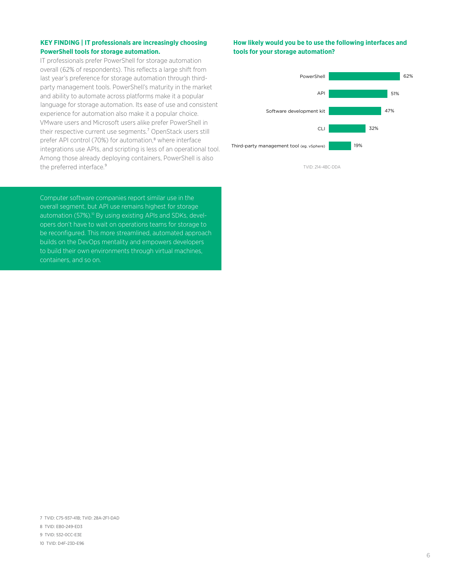# <span id="page-5-0"></span>**KEY FINDING | IT professionals are increasingly choosing PowerShell tools for storage automation.**

IT professionals prefer PowerShell for storage automation overall (62% of respondents). This reflects a large shift from last year's preference for storage automation through thirdparty management tools. PowerShell's maturity in the market and ability to automate across platforms make it a popular language for storage automation. Its ease of use and consistent experience for automation also make it a popular choice. VMware users and Microsoft users alike prefer PowerShell in their respective current use segments.<sup>7</sup> OpenStack users still prefer API control (70%) for automation,<sup>8</sup> where interface integrations use APIs, and scripting is less of an operational tool. Among those already deploying containers, PowerShell is also the preferred interface.<sup>9</sup>

Computer software companies report similar use in the overall segment, but API use remains highest for storage automation (57%).<sup>10</sup> By using existing APIs and SDKs, developers don't have to wait on operations teams for storage to be reconfigured. This more streamlined, automated approach builds on the DevOps mentality and empowers developers to build their own environments through virtual machines, containers, and so on.

#### **How likely would you be to use the following interfaces and tools for your storage automation?**



TVID: [214-4BC-DDA](https://www.techvalidate.com/product-research/solidfire-market-research/charts/214-4BC-DDA)

7 TVID: [C75-937-41B](https://www.techvalidate.com/product-research/solidfire-market-research/charts/C75-937-41B); TVID: [28A-2F1-DAD](https://www.techvalidate.com/product-research/solidfire-market-research/charts/28A-2F1-DAD)

- 8 TVID: [EB0-249-ED3](https://www.techvalidate.com/product-research/solidfire-market-research/charts/EB0-249-ED3)
- 9 TVID: [532-0CC-E3E](https://www.techvalidate.com/product-research/solidfire-market-research/charts/532-0CC-E3E)
- 10 TVID: [D4F-23D-E96](https://www.techvalidate.com/product-research/solidfire-market-research/charts/D4F-23D-E96)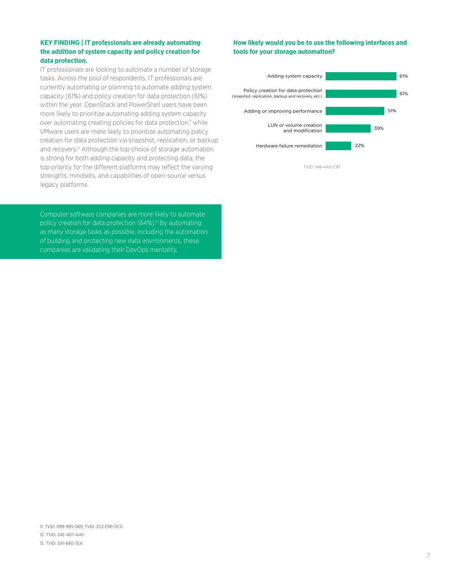# <span id="page-6-0"></span>**KEY FINDING | IT professionals are already automating the addition of system capacity and policy creation for data protection.**

IT professionals are looking to automate a number of storage tasks. Across the pool of respondents, IT professionals are currently automating or planning to automate adding system capacity (61%) and policy creation for data protection (61%) within the year. OpenStack and PowerShell users have been more likely to prioritize automating adding system capacity over automating creating policies for data protection,<sup>11</sup> while VMware users are more likely to prioritize automating policy creation for data protection via snapshot, replication, or backup and recovery.<sup>12</sup> Although the top choice of storage automation is strong for both adding capacity and protecting data, the top priority for the different platforms may reflect the varying strengths, mindsets, and capabilities of open-source versus legacy platforms.

Computer software companies are more likely to automate policy creation for data protection  $(64%)$ <sup>13</sup> By automating as many storage tasks as possible, including the automation of building and protecting new data environments, these companies are validating their DevOps mentality.

# **How likely would you be to use the following interfaces and tools for your storage automation?**



TVID: [1A8-4A0-C97](https://www.techvalidate.com/product-research/solidfire-market-research/charts/1A8-4A0-C97)

- 12 TVID: [24E-4D7-A40](https://www.techvalidate.com/product-research/solidfire-market-research/charts/24E-4D7-A40)
- 13 TVID: [3A1-690-7EA](https://www.techvalidate.com/product-research/solidfire-market-research/charts/3A1-690-7EA)

7

<sup>11</sup> TVID: [099-995-069,](https://www.techvalidate.com/product-research/solidfire-market-research/charts/099-995-069) TVID: [2C2-E9E-DC0](https://www.techvalidate.com/product-research/solidfire-market-research/charts/2C2-E9E-DC0)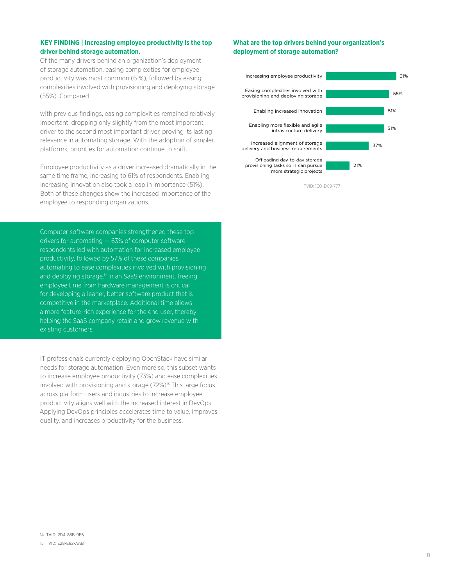### <span id="page-7-0"></span>**KEY FINDING | Increasing employee productivity is the top driver behind storage automation.**

Of the many drivers behind an organization's deployment of storage automation, easing complexities for employee productivity was most common (61%), followed by easing complexities involved with provisioning and deploying storage (55%). Compared

with previous findings, easing complexities remained relatively important, dropping only slightly from the most important driver to the second most important driver, proving its lasting relevance in automating storage. With the adoption of simpler platforms, priorities for automation continue to shift.

Employee productivity as a driver increased dramatically in the same time frame, increasing to 61% of respondents. Enabling increasing innovation also took a leap in importance (51%). Both of these changes show the increased importance of the employee to responding organizations.

Computer software companies strengthened these top drivers for automating — 63% of computer software respondents led with automation for increased employee productivity, followed by 57% of these companies automating to ease complexities involved with provisioning and deploying storage.<sup>14</sup> In an SaaS environment, freeing employee time from hardware management is critical for developing a leaner, better software product that is competitive in the marketplace. Additional time allows a more feature-rich experience for the end user, thereby helping the SaaS company retain and grow revenue with existing customers.

IT professionals currently deploying OpenStack have similar needs for storage automation. Even more so, this subset wants to increase employee productivity (73%) and ease complexities involved with provisioning and storage (72%)<sup>15</sup> This large focus across platform users and industries to increase employee productivity aligns well with the increased interest in DevOps. Applying DevOps principles accelerates time to value, improves quality, and increases productivity for the business.

# **What are the top drivers behind your organization's deployment of storage automation?**



TVID: [1CO-DC9-777](https://www.techvalidate.com/product-research/solidfire-market-research/charts/1C0-DC9-777)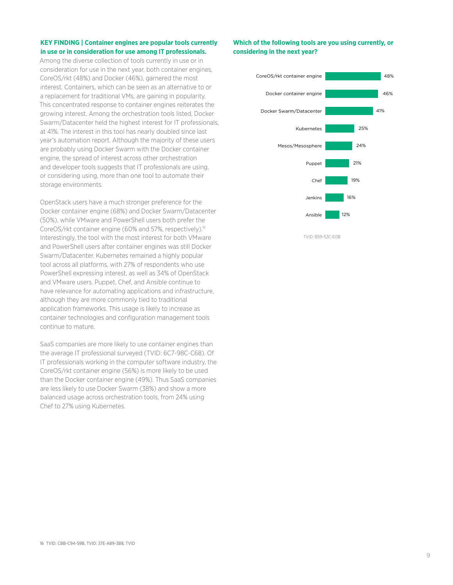# <span id="page-8-0"></span>**KEY FINDING | Container engines are popular tools currently in use or in consideration for use among IT professionals.**

Among the diverse collection of tools currently in use or in consideration for use in the next year, both container engines, CoreOS/rkt (48%) and Docker (46%), garnered the most interest. Containers, which can be seen as an alternative to or a replacement for traditional VMs, are gaining in popularity. This concentrated response to container engines reiterates the growing interest. Among the orchestration tools listed, Docker Swarm/Datacenter held the highest interest for IT professionals, at 41%. The interest in this tool has nearly doubled since last year's automation report. Although the majority of these users are probably using Docker Swarm with the Docker container engine, the spread of interest across other orchestration and developer tools suggests that IT professionals are using, or considering using, more than one tool to automate their storage environments.

OpenStack users have a much stronger preference for the Docker container engine (68%) and Docker Swarm/Datacenter (50%), while VMware and PowerShell users both prefer the CoreOS/rkt container engine (60% and 57%, respectively).<sup>16</sup> Interestingly, the tool with the most interest for both VMware and PowerShell users after container engines was still Docker Swarm/Datacenter. Kubernetes remained a highly popular tool across all platforms, with 27% of respondents who use PowerShell expressing interest, as well as 34% of OpenStack and VMware users. Puppet, Chef, and Ansible continue to have relevance for automating applications and infrastructure, although they are more commonly tied to traditional application frameworks. This usage is likely to increase as container technologies and configuration management tools continue to mature.

SaaS companies are more likely to use container engines than the average IT professional surveyed (TVID: 6C7-98C-C68). Of IT professionals working in the computer software industry, the CoreOS/rkt container engine (56%) is more likely to be used than the Docker container engine (49%). Thus SaaS companies are less likely to use Docker Swarm (38%) and show a more balanced usage across orchestration tools, from 24% using Chef to 27% using Kubernetes.

# **Which of the following tools are you using currently, or considering in the next year?**



16 TVID: [CBB-C94-59B](https://www.techvalidate.com/product-research/solidfire-market-research/charts/CBB-C94-59B), TVID: [37E-A89-3B8, TVID](https://www.techvalidate.com/product-research/solidfire-market-research/charts/37E-A89-3B8)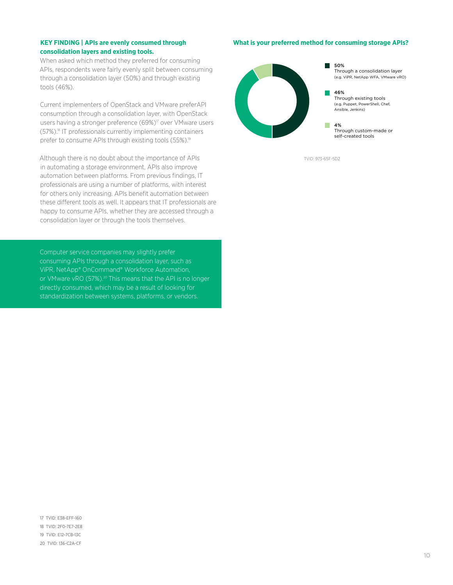#### <span id="page-9-0"></span>**KEY FINDING | APIs are evenly consumed through consolidation layers and existing tools.**

When asked which method they preferred for consuming APIs, respondents were fairly evenly split between consuming through a consolidation layer (50%) and through existing tools (46%).

Current implementers of OpenStack and VMware preferAPI consumption through a consolidation layer, with OpenStack users having a stronger preference (69%)<sup>17</sup> over VMware users (57%).18 IT professionals currently implementing containers prefer to consume APIs through existing tools (55%).<sup>19</sup>

Although there is no doubt about the importance of APIs in automating a storage environment, APIs also improve automation between platforms. From previous findings, IT professionals are using a number of platforms, with interest for others only increasing. APIs benefit automation between these different tools as well. It appears that IT professionals are happy to consume APIs, whether they are accessed through a consolidation layer or through the tools themselves.

Computer service companies may slightly prefer consuming APIs through a consolidation layer, such as ViPR, NetApp® OnCommand® Workforce Automation, or VMware vRO (57%).<sup>20</sup> This means that the API is no longer directly consumed, which may be a result of looking for standardization between systems, platforms, or vendors.

#### **What is your preferred method for consuming storage APIs?**



TVID: [973-65F-5D2](https://www.techvalidate.com/product-research/solidfire-market-research/charts/973-65F-5D2)

17 TVID: [E38-EFF-160](https://www.techvalidate.com/product-research/solidfire-market-research/charts/E38-EFF-160) 18 TVID: [2F0-7E7-2E8](https://www.techvalidate.com/product-research/solidfire-market-research/charts/2F0-7E7-2E8) 19 TVID: [E12-7CB-13C](https://www.techvalidate.com/product-research/solidfire-market-research/charts/E12-7CB-13C) 20 TVID: [136-C2A-CF](https://www.techvalidate.com/product-research/solidfire-market-research/charts/136-C2A-CF7)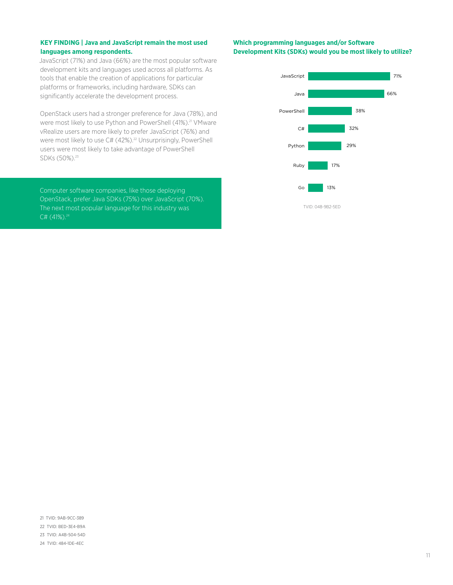# <span id="page-10-0"></span>**KEY FINDING | Java and JavaScript remain the most used languages among respondents.**

JavaScript (71%) and Java (66%) are the most popular software development kits and languages used across all platforms. As tools that enable the creation of applications for particular platforms or frameworks, including hardware, SDKs can significantly accelerate the development process.

OpenStack users had a stronger preference for Java (78%), and were most likely to use Python and PowerShell (41%).<sup>21</sup> VMware vRealize users are more likely to prefer JavaScript (76%) and were most likely to use C# (42%).<sup>22</sup> Unsurprisingly, PowerShell users were most likely to take advantage of PowerShell SDKs (50%).<sup>23</sup>

Computer software companies, like those deploying OpenStack, prefer Java SDKs (75%) over JavaScript (70%). The next most popular language for this industry was  $C# (41%)$ .<sup>24</sup>

### **Which programming languages and/or Software Development Kits (SDKs) would you be most likely to utilize?**



21 TVID: [9AB-9CC-389](https://www.techvalidate.com/product-research/solidfire-market-research/charts/9AB-9CC-389) 22 TVID: [BED-3E4-B9A](https://www.techvalidate.com/product-research/solidfire-market-research/charts/BED-3E4-B9A) 23 TVID: [A4B-504-54D](https://www.techvalidate.com/product-research/solidfire-market-research/charts/A4B-504-54D)

24 TVID: [484-1DE-4EC](https://www.techvalidate.com/product-research/solidfire-market-research/charts/484-1DE-4EC)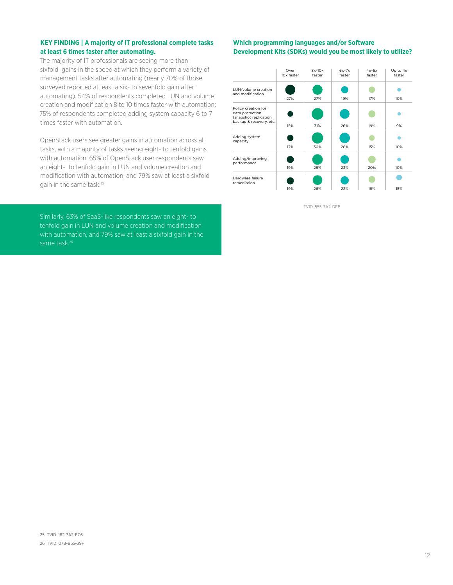# <span id="page-11-0"></span>**KEY FINDING | A majority of IT professional complete tasks at least 6 times faster after automating.**

The majority of IT professionals are seeing more than sixfold gains in the speed at which they perform a variety of management tasks after automating (nearly 70% of those surveyed reported at least a six- to sevenfold gain after automating). 54% of respondents completed LUN and volume creation and modification 8 to 10 times faster with automation; 75% of respondents completed adding system capacity 6 to 7 times faster with automation.

OpenStack users see greater gains in automation across all tasks, with a majority of tasks seeing eight- to tenfold gains with automation. 65% of OpenStack user respondents saw an eight- to tenfold gain in LUN and volume creation and modification with automation, and 79% saw at least a sixfold gain in the same task.<sup>25</sup>

Similarly, 63% of SaaS-like respondents saw an eight- to tenfold gain in LUN and volume creation and modification with automation, and 79% saw at least a sixfold gain in the same task.<sup>26</sup>

### **Which programming languages and/or Software Development Kits (SDKs) would you be most likely to utilize?**

|                                                                                            | Over<br>10x faster | $8x-10x$<br>faster | $6x-7x$<br>faster | $4x-5x$<br>faster | Up to $4x$<br>faster |
|--------------------------------------------------------------------------------------------|--------------------|--------------------|-------------------|-------------------|----------------------|
| LUN/volume creation<br>and modification                                                    | 27%                | 27%                | 19%               | 17%               | 10%                  |
| Policy creation for<br>data protection<br>(snapshot replication<br>backup & recovery, etc. |                    |                    |                   |                   |                      |
|                                                                                            | 15%                | 31%                | 26%               | 19%               | 9%                   |
| Adding system<br>capacity                                                                  |                    |                    |                   |                   |                      |
|                                                                                            | 17%                | 30%                | 28%               | 15%               | 10%                  |
| Adding/improving<br>performance                                                            |                    |                    |                   |                   |                      |
|                                                                                            | 19%                | 28%                | 23%               | 20%               | 10%                  |
| Hardware failure<br>remediation                                                            |                    |                    |                   |                   |                      |
|                                                                                            | 19%                | 26%                | 22%               | 18%               | 15%                  |

TVID: [555-7A2-DEB](https://www.techvalidate.com/product-research/solidfire-market-research/charts/555-7A2-DEB)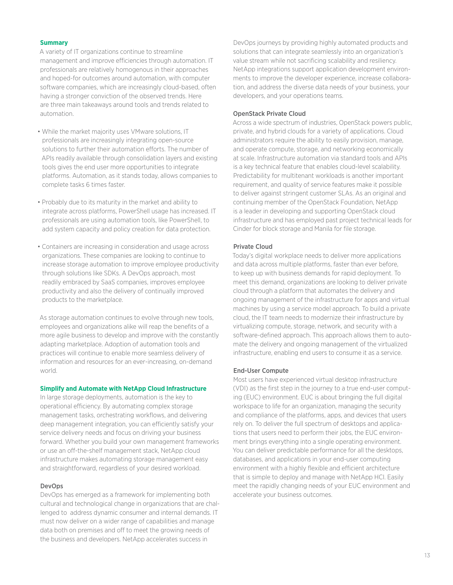#### <span id="page-12-0"></span>**Summary**

A variety of IT organizations continue to streamline management and improve efficiencies through automation. IT professionals are relatively homogenous in their approaches and hoped-for outcomes around automation, with computer software companies, which are increasingly cloud-based, often having a stronger conviction of the observed trends. Here are three main takeaways around tools and trends related to automation.

- While the market majority uses VMware solutions, IT professionals are increasingly integrating open-source solutions to further their automation efforts. The number of APIs readily available through consolidation layers and existing tools gives the end user more opportunities to integrate platforms. Automation, as it stands today, allows companies to complete tasks 6 times faster.
- Probably due to its maturity in the market and ability to integrate across platforms, PowerShell usage has increased. IT professionals are using automation tools, like PowerShell, to add system capacity and policy creation for data protection.
- Containers are increasing in consideration and usage across organizations. These companies are looking to continue to increase storage automation to improve employee productivity through solutions like SDKs. A DevOps approach, most readily embraced by SaaS companies, improves employee productivity and also the delivery of continually improved products to the marketplace.

As storage automation continues to evolve through new tools, employees and organizations alike will reap the benefits of a more agile business to develop and improve with the constantly adapting marketplace. Adoption of automation tools and practices will continue to enable more seamless delivery of information and resources for an ever-increasing, on-demand world.

#### **Simplify and Automate with NetApp Cloud Infrastructure**

In large storage deployments, automation is the key to operational efficiency. By automating complex storage management tasks, orchestrating workflows, and delivering deep management integration, you can efficiently satisfy your service delivery needs and focus on driving your business forward. Whether you build your own management frameworks or use an off-the-shelf management stack, NetApp cloud infrastructure makes automating storage management easy and straightforward, regardless of your desired workload.

#### DevOps

DevOps has emerged as a framework for implementing both cultural and technological change in organizations that are challenged to address dynamic consumer and internal demands. IT must now deliver on a wider range of capabilities and manage data both on premises and off to meet the growing needs of the business and developers. NetApp accelerates success in

DevOps journeys by providing highly automated products and solutions that can integrate seamlessly into an organization's value stream while not sacrificing scalability and resiliency. NetApp integrations support application development environments to improve the developer experience, increase collaboration, and address the diverse data needs of your business, your developers, and your operations teams.

#### OpenStack Private Cloud

Across a wide spectrum of industries, OpenStack powers public, private, and hybrid clouds for a variety of applications. Cloud administrators require the ability to easily provision, manage, and operate compute, storage, and networking economically at scale. Infrastructure automation via standard tools and APIs is a key technical feature that enables cloud-level scalability. Predictability for multitenant workloads is another important requirement, and quality of service features make it possible to deliver against stringent customer SLAs. As an original and continuing member of the OpenStack Foundation, NetApp is a leader in developing and supporting OpenStack cloud infrastructure and has employed past project technical leads for Cinder for block storage and Manila for file storage.

#### Private Cloud

Today's digital workplace needs to deliver more applications and data across multiple platforms, faster than ever before, to keep up with business demands for rapid deployment. To meet this demand, organizations are looking to deliver private cloud through a platform that automates the delivery and ongoing management of the infrastructure for apps and virtual machines by using a service model approach. To build a private cloud, the IT team needs to modernize their infrastructure by virtualizing compute, storage, network, and security with a software-defined approach. This approach allows them to automate the delivery and ongoing management of the virtualized infrastructure, enabling end users to consume it as a service.

#### End-User Compute

Most users have experienced virtual desktop infrastructure (VDI) as the first step in the journey to a true end-user computing (EUC) environment. EUC is about bringing the full digital workspace to life for an organization, managing the security and compliance of the platforms, apps, and devices that users rely on. To deliver the full spectrum of desktops and applications that users need to perform their jobs, the EUC environment brings everything into a single operating environment. You can deliver predictable performance for all the desktops, databases, and applications in your end-user computing environment with a highly flexible and efficient architecture that is simple to deploy and manage with NetApp HCI. Easily meet the rapidly changing needs of your EUC environment and accelerate your business outcomes.